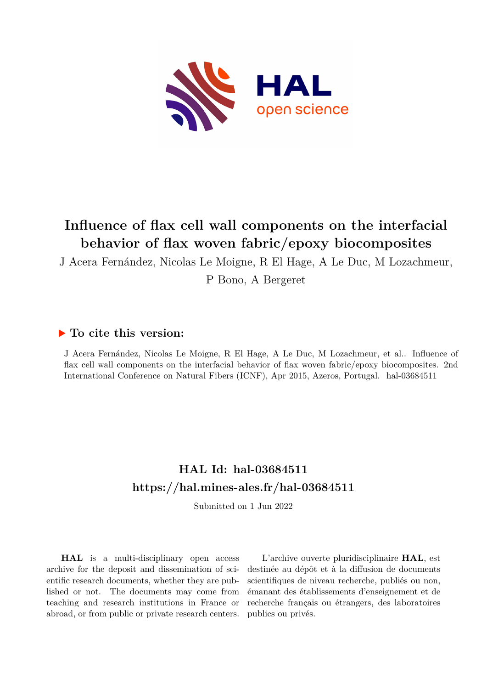

# **Influence of flax cell wall components on the interfacial behavior of flax woven fabric/epoxy biocomposites**

J Acera Fernández, Nicolas Le Moigne, R El Hage, A Le Duc, M Lozachmeur,

P Bono, A Bergeret

### **To cite this version:**

J Acera Fernández, Nicolas Le Moigne, R El Hage, A Le Duc, M Lozachmeur, et al.. Influence of flax cell wall components on the interfacial behavior of flax woven fabric/epoxy biocomposites. 2nd International Conference on Natural Fibers (ICNF), Apr 2015, Azeros, Portugal. hal-03684511

## **HAL Id: hal-03684511 <https://hal.mines-ales.fr/hal-03684511>**

Submitted on 1 Jun 2022

**HAL** is a multi-disciplinary open access archive for the deposit and dissemination of scientific research documents, whether they are published or not. The documents may come from teaching and research institutions in France or abroad, or from public or private research centers.

L'archive ouverte pluridisciplinaire **HAL**, est destinée au dépôt et à la diffusion de documents scientifiques de niveau recherche, publiés ou non, émanant des établissements d'enseignement et de recherche français ou étrangers, des laboratoires publics ou privés.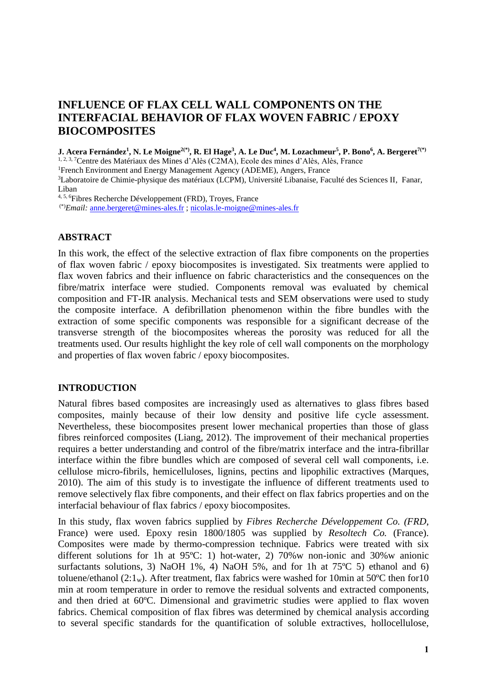## **INFLUENCE OF FLAX CELL WALL COMPONENTS ON THE INTERFACIAL BEHAVIOR OF FLAX WOVEN FABRIC / EPOXY BIOCOMPOSITES**

 ${\bf J. Acera \ Fermi and }$ ez $^1,$   ${\bf N. Le \ Monerighteq^{{\bf Z}(\mathbf{R})}}$   ${\bf R. El \ Hage^3, A. Le \ Duc^4, M. Lozachmeur^5, P. Bono^6, A. Bergeret^{{\bf Z}(\mathbf{R})}}$ 

<sup>1, 2, 3, 7</sup>Centre des Matériaux des Mines d'Alès (C2MA), Ecole des mines d'Alès, Alès, France

<sup>1</sup>French Environment and Energy Management Agency (ADEME), Angers, France

<sup>3</sup>Laboratoire de Chimie-physique des matériaux (LCPM), Université Libanaise, Faculté des Sciences II, Fanar, Liban

4, 5, 6Fibres Recherche Développement (FRD), Troyes, France

(\*)*Email:* [anne.bergeret@mines-ales.fr](mailto:anne.bergeret@mines-ales.fr) ; [nicolas.le-moigne@mines-ales.fr](mailto:nicolas.le-moigne@mines-ales.fr)

#### **ABSTRACT**

In this work, the effect of the selective extraction of flax fibre components on the properties of flax woven fabric / epoxy biocomposites is investigated. Six treatments were applied to flax woven fabrics and their influence on fabric characteristics and the consequences on the fibre/matrix interface were studied. Components removal was evaluated by chemical composition and FT-IR analysis. Mechanical tests and SEM observations were used to study the composite interface. A defibrillation phenomenon within the fibre bundles with the extraction of some specific components was responsible for a significant decrease of the transverse strength of the biocomposites whereas the porosity was reduced for all the treatments used. Our results highlight the key role of cell wall components on the morphology and properties of flax woven fabric / epoxy biocomposites.

#### **INTRODUCTION**

Natural fibres based composites are increasingly used as alternatives to glass fibres based composites, mainly because of their low density and positive life cycle assessment. Nevertheless, these biocomposites present lower mechanical properties than those of glass fibres reinforced composites (Liang, 2012). The improvement of their mechanical properties requires a better understanding and control of the fibre/matrix interface and the intra-fibrillar interface within the fibre bundles which are composed of several cell wall components, i.e. cellulose micro-fibrils, hemicelluloses, lignins, pectins and lipophilic extractives (Marques, 2010). The aim of this study is to investigate the influence of different treatments used to remove selectively flax fibre components, and their effect on flax fabrics properties and on the interfacial behaviour of flax fabrics / epoxy biocomposites.

In this study, flax woven fabrics supplied by *Fibres Recherche Développement Co. (FRD*, France) were used. Epoxy resin 1800/1805 was supplied by *Resoltech Co.* (France). Composites were made by thermo-compression technique. Fabrics were treated with six different solutions for 1h at 95ºC: 1) hot-water, 2) 70%w non-ionic and 30%w anionic surfactants solutions, 3) NaOH 1%, 4) NaOH 5%, and for 1h at  $75^{\circ}$ C 5) ethanol and 6) toluene/ethanol  $(2:1_w)$ . After treatment, flax fabrics were washed for 10min at 50 °C then for 10 min at room temperature in order to remove the residual solvents and extracted components, and then dried at 60ºC. Dimensional and gravimetric studies were applied to flax woven fabrics. Chemical composition of flax fibres was determined by chemical analysis according to several specific standards for the quantification of soluble extractives, hollocellulose,